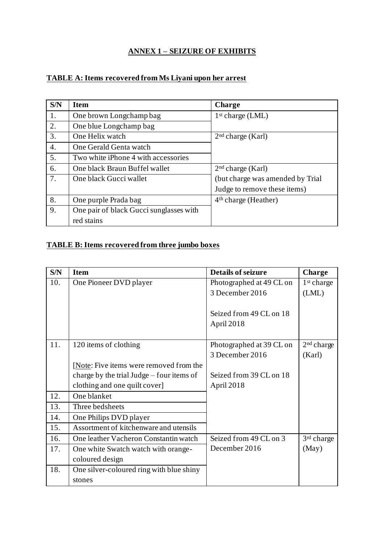## **ANNEX 1 – SEIZURE OF EXHIBITS**

## **TABLE A: Items recovered from Ms Liyani upon her arrest**

| S/N | <b>Item</b>                             | <b>Charge</b>                    |
|-----|-----------------------------------------|----------------------------------|
| 1.  | One brown Longchamp bag                 | 1 <sup>st</sup> charge (LML)     |
| 2.  | One blue Longchamp bag                  |                                  |
| 3.  | One Helix watch                         | 2 <sup>nd</sup> charge (Karl)    |
| 4.  | One Gerald Genta watch                  |                                  |
| 5.  | Two white iPhone 4 with accessories     |                                  |
| 6.  | One black Braun Buffel wallet           | 2 <sup>nd</sup> charge (Karl)    |
| 7.  | One black Gucci wallet                  | (but charge was amended by Trial |
|     |                                         | Judge to remove these items)     |
| 8.  | One purple Prada bag                    | $4th$ charge (Heather)           |
| 9.  | One pair of black Gucci sunglasses with |                                  |
|     | red stains                              |                                  |

## **TABLE B: Items recovered from three jumbo boxes**

| S/N | <b>Item</b>                                 | <b>Details of seizure</b> | <b>Charge</b>          |
|-----|---------------------------------------------|---------------------------|------------------------|
| 10. | One Pioneer DVD player                      | Photographed at 49 CL on  | 1 <sup>st</sup> charge |
|     |                                             | 3 December 2016           | (LML)                  |
|     |                                             |                           |                        |
|     |                                             | Seized from 49 CL on 18   |                        |
|     |                                             | April 2018                |                        |
|     |                                             |                           |                        |
| 11. | 120 items of clothing                       | Photographed at 39 CL on  | 2 <sup>nd</sup> charge |
|     |                                             | 3 December 2016           | (Karl)                 |
|     | [Note: Five items were removed from the     |                           |                        |
|     | charge by the trial Judge $-$ four items of | Seized from 39 CL on 18   |                        |
|     | clothing and one quilt cover                | April 2018                |                        |
| 12. | One blanket                                 |                           |                        |
| 13. | Three bedsheets                             |                           |                        |
| 14. | One Philips DVD player                      |                           |                        |
| 15. | Assortment of kitchenware and utensils      |                           |                        |
| 16. | One leather Vacheron Constantin watch       | Seized from 49 CL on 3    | 3 <sup>rd</sup> charge |
| 17. | One white Swatch watch with orange-         | December 2016             | (May)                  |
|     | coloured design                             |                           |                        |
| 18. | One silver-coloured ring with blue shiny    |                           |                        |
|     | stones                                      |                           |                        |